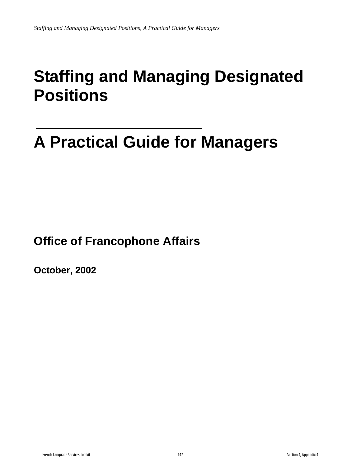## **Staffing and Managing Designated Positions**

# **A Practical Guide for Managers**

**Office of Francophone Affairs** 

**October, 2002**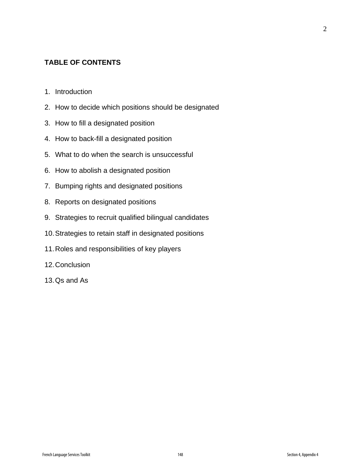#### **TABLE OF CONTENTS**

- 1. Introduction
- 2. How to decide which positions should be designated
- 3. How to fill a designated position
- 4. How to back-fill a designated position
- 5. What to do when the search is unsuccessful
- 6. How to abolish a designated position
- 7. Bumping rights and designated positions
- 8. Reports on designated positions
- 9. Strategies to recruit qualified bilingual candidates
- 10. Strategies to retain staff in designated positions
- 11. Roles and responsibilities of key players
- 12. Conclusion
- 13. Qs and As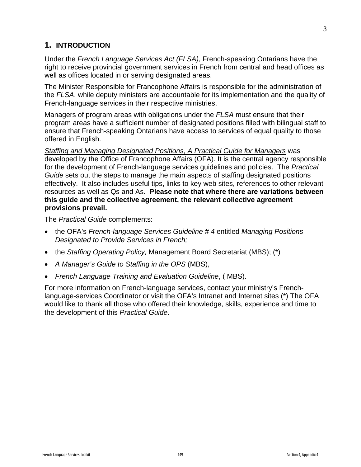## **1. INTRODUCTION**

Under the *French Language Services Act (FLSA)*, French-speaking Ontarians have the right to receive provincial government services in French from central and head offices as well as offices located in or serving designated areas.

The Minister Responsible for Francophone Affairs is responsible for the administration of the *FLSA*, while deputy ministers are accountable for its implementation and the quality of French-language services in their respective ministries.

Managers of program areas with obligations under the *FLSA* must ensure that their program areas have a sufficient number of designated positions filled with bilingual staff to ensure that French-speaking Ontarians have access to services of equal quality to those offered in English.

*Staffing and Managing Designated Positions, A Practical Guide for Managers* was developed by the Office of Francophone Affairs (OFA). It is the central agency responsible for the development of French-language services guidelines and policies. The *Practical Guide* sets out the steps to manage the main aspects of staffing designated positions effectively. It also includes useful tips, links to key web sites, references to other relevant resources as well as Qs and As. **Please note that where there are variations between this guide and the collective agreement, the relevant collective agreement provisions prevail.** 

The *Practical Guide* complements:

- the OFA's *French-language Services Guideline # 4* entitled *Managing Positions Designated to Provide Services in French;*
- the *Staffing Operating Policy,* Management Board Secretariat (MBS); (\*)
- *A Manager's Guide to Staffing in the OPS* (MBS),
- *French Language Training and Evaluation Guideline*, ( MBS).

For more information on French-language services, contact your ministry's Frenchlanguage-services Coordinator or visit the OFA's Intranet and Internet sites (\*) The OFA would like to thank all those who offered their knowledge, skills, experience and time to the development of this *Practical Guide*.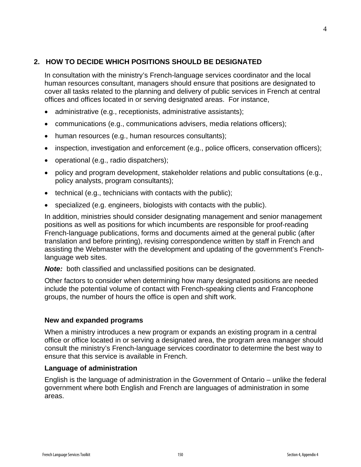## **2. HOW TO DECIDE WHICH POSITIONS SHOULD BE DESIGNATED**

In consultation with the ministry's French-language services coordinator and the local human resources consultant, managers should ensure that positions are designated to cover all tasks related to the planning and delivery of public services in French at central offices and offices located in or serving designated areas. For instance,

- administrative (e.g., receptionists, administrative assistants);
- communications (e.g., communications advisers, media relations officers);
- human resources (e.g., human resources consultants);
- inspection, investigation and enforcement (e.g., police officers, conservation officers);
- operational (e.g., radio dispatchers);
- policy and program development, stakeholder relations and public consultations (e.g., policy analysts, program consultants);
- technical (e.g., technicians with contacts with the public);
- specialized (e.g. engineers, biologists with contacts with the public).

In addition, ministries should consider designating management and senior management positions as well as positions for which incumbents are responsible for proof-reading French-language publications, forms and documents aimed at the general public (after translation and before printing), revising correspondence written by staff in French and assisting the Webmaster with the development and updating of the government's Frenchlanguage web sites.

*Note:* both classified and unclassified positions can be designated.

Other factors to consider when determining how many designated positions are needed include the potential volume of contact with French-speaking clients and Francophone groups, the number of hours the office is open and shift work.

#### **New and expanded programs**

When a ministry introduces a new program or expands an existing program in a central office or office located in or serving a designated area, the program area manager should consult the ministry's French-language services coordinator to determine the best way to ensure that this service is available in French.

#### **Language of administration**

English is the language of administration in the Government of Ontario – unlike the federal government where both English and French are languages of administration in some areas.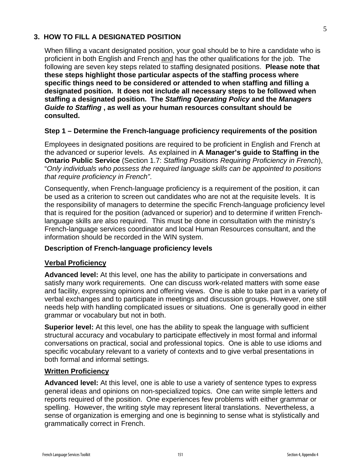## **3. HOW TO FILL A DESIGNATED POSITION**

When filling a vacant designated position, your goal should be to hire a candidate who is proficient in both English and French and has the other qualifications for the job. The following are seven key steps related to staffing designated positions. **Please note that these steps highlight those particular aspects of the staffing process where specific things need to be considered or attended to when staffing and filling a designated position. It does not include all necessary steps to be followed when staffing a designated position. The** *Staffing Operating Policy* **and the** *Managers Guide to Staffing* **, as well as your human resources consultant should be consulted.** 

#### **Step 1 – Determine the French-language proficiency requirements of the position**

Employees in designated positions are required to be proficient in English and French at the advanced or superior levels. As explained in **A Manager's guide to Staffing in the Ontario Public Service** (Section 1.7: *Staffing Positions Requiring Proficiency in French*), "*Only individuals who possess the required language skills can be appointed to positions that require proficiency in French"*.

Consequently, when French-language proficiency is a requirement of the position, it can be used as a criterion to screen out candidates who are not at the requisite levels. It is the responsibility of managers to determine the specific French-language proficiency level that is required for the position (advanced or superior) and to determine if written Frenchlanguage skills are also required. This must be done in consultation with the ministry's French-language services coordinator and local Human Resources consultant, and the information should be recorded in the WIN system.

#### **Description of French-language proficiency levels**

#### **Verbal Proficiency**

**Advanced level:** At this level, one has the ability to participate in conversations and satisfy many work requirements. One can discuss work-related matters with some ease and facility, expressing opinions and offering views. One is able to take part in a variety of verbal exchanges and to participate in meetings and discussion groups. However, one still needs help with handling complicated issues or situations. One is generally good in either grammar or vocabulary but not in both.

**Superior level:** At this level, one has the ability to speak the language with sufficient structural accuracy and vocabulary to participate effectively in most formal and informal conversations on practical, social and professional topics. One is able to use idioms and specific vocabulary relevant to a variety of contexts and to give verbal presentations in both formal and informal settings.

#### **Written Proficiency**

**Advanced level:** At this level, one is able to use a variety of sentence types to express general ideas and opinions on non-specialized topics. One can write simple letters and reports required of the position. One experiences few problems with either grammar or spelling. However, the writing style may represent literal translations. Nevertheless, a sense of organization is emerging and one is beginning to sense what is stylistically and grammatically correct in French.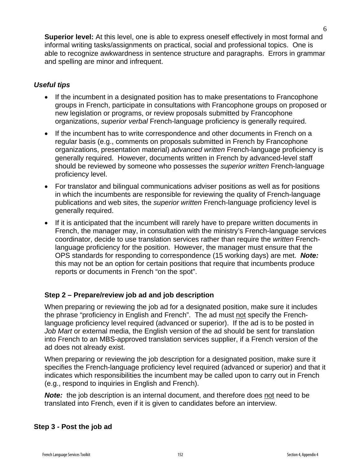**Superior level:** At this level, one is able to express oneself effectively in most formal and informal writing tasks/assignments on practical, social and professional topics. One is able to recognize awkwardness in sentence structure and paragraphs. Errors in grammar and spelling are minor and infrequent.

#### *Useful tips*

- If the incumbent in a designated position has to make presentations to Francophone groups in French, participate in consultations with Francophone groups on proposed or new legislation or programs, or review proposals submitted by Francophone organizations, *superior verbal* French-language proficiency is generally required.
- If the incumbent has to write correspondence and other documents in French on a regular basis (e.g., comments on proposals submitted in French by Francophone organizations, presentation material) *advanced written* French-language proficiency is generally required. However, documents written in French by advanced-level staff should be reviewed by someone who possesses the *superior written* French-language proficiency level.
- For translator and bilingual communications adviser positions as well as for positions in which the incumbents are responsible for reviewing the quality of French-language publications and web sites, the *superior written* French-language proficiency level is generally required.
- If it is anticipated that the incumbent will rarely have to prepare written documents in French, the manager may, in consultation with the ministry's French-language services coordinator, decide to use translation services rather than require the *written* Frenchlanguage proficiency for the position. However, the manager must ensure that the OPS standards for responding to correspondence (15 working days) are met. *Note:* this may not be an option for certain positions that require that incumbents produce reports or documents in French "on the spot".

## **Step 2 – Prepare/review job ad and job description**

When preparing or reviewing the job ad for a designated position, make sure it includes the phrase "proficiency in English and French". The ad must not specify the Frenchlanguage proficiency level required (advanced or superior). If the ad is to be posted in *Job Mart* or external media, the English version of the ad should be sent for translation into French to an MBS-approved translation services supplier, if a French version of the ad does not already exist.

When preparing or reviewing the job description for a designated position, make sure it specifies the French-language proficiency level required (advanced or superior) and that it indicates which responsibilities the incumbent may be called upon to carry out in French (e.g., respond to inquiries in English and French).

**Note:** the job description is an internal document, and therefore does not need to be translated into French, even if it is given to candidates before an interview.

#### **Step 3 - Post the job ad**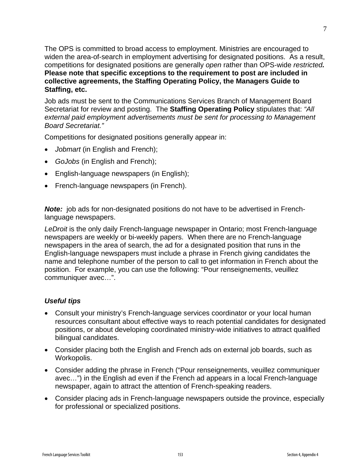The OPS is committed to broad access to employment. Ministries are encouraged to widen the area-of-search in employment advertising for designated positions. As a result, competitions for designated positions are generally *open* rather than OPS-wide *restricted.*  **Please note that specific exceptions to the requirement to post are included in collective agreements, the Staffing Operating Policy, the Managers Guide to Staffing, etc.** 

Job ads must be sent to the Communications Services Branch of Management Board Secretariat for review and posting. The **Staffing Operating Policy** stipulates that: *"All external paid employment advertisements must be sent for processing to Management Board Secretariat."*

Competitions for designated positions generally appear in:

- *Jobmart* (in English and French);
- *GoJobs* (in English and French);
- English-language newspapers (in English);
- French-language newspapers (in French).

**Note:** job ads for non-designated positions do not have to be advertised in Frenchlanguage newspapers.

*LeDroit* is the only daily French-language newspaper in Ontario; most French-language newspapers are weekly or bi-weekly papers. When there are no French-language newspapers in the area of search, the ad for a designated position that runs in the English-language newspapers must include a phrase in French giving candidates the name and telephone number of the person to call to get information in French about the position. For example, you can use the following: "Pour renseignements, veuillez communiquer avec…".

#### *Useful tips*

- Consult your ministry's French-language services coordinator or your local human resources consultant about effective ways to reach potential candidates for designated positions, or about developing coordinated ministry-wide initiatives to attract qualified bilingual candidates.
- Consider placing both the English and French ads on external job boards, such as Workopolis.
- Consider adding the phrase in French ("Pour renseignements, veuillez communiquer avec…") in the English ad even if the French ad appears in a local French-language newspaper, again to attract the attention of French-speaking readers.
- Consider placing ads in French-language newspapers outside the province, especially for professional or specialized positions.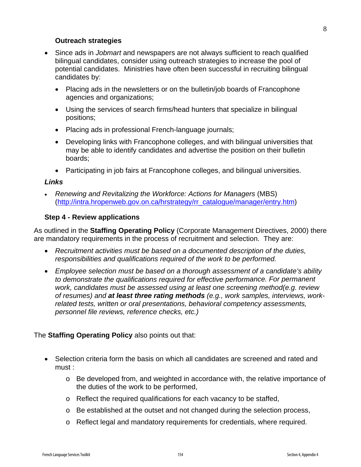#### **Outreach strategies**

- Since ads in *Jobmart* and newspapers are not always sufficient to reach qualified bilingual candidates, consider using outreach strategies to increase the pool of potential candidates. Ministries have often been successful in recruiting bilingual candidates by:
	- Placing ads in the newsletters or on the bulletin/job boards of Francophone agencies and organizations;
	- Using the services of search firms/head hunters that specialize in bilingual positions;
	- Placing ads in professional French-language journals;
	- Developing links with Francophone colleges, and with bilingual universities that may be able to identify candidates and advertise the position on their bulletin boards;
	- Participating in job fairs at Francophone colleges, and bilingual universities.

#### *Links*

• *Renewing and Revitalizing the Workforce: Actions for Managers* (MBS) (http://intra.hropenweb.gov.on.ca/hrstrategy/rr\_catalogue/manager/entry.htm)

#### **Step 4 - Review applications**

As outlined in the **Staffing Operating Policy** (Corporate Management Directives, 2000) there are mandatory requirements in the process of recruitment and selection. They are:

- *Recruitment activities must be based on a documented description of the duties, responsibilities and qualifications required of the work to be performed.*
- *Employee selection must be based on a thorough assessment of a candidate's ability to demonstrate the qualifications required for effective performance. For permanent work, candidates must be assessed using at least one screening method(e.g. review of resumes) and at least three rating methods (e.g., work samples, interviews, workrelated tests, written or oral presentations, behavioral competency assessments, personnel file reviews, reference checks, etc.)*

#### The **Staffing Operating Policy** also points out that:

- Selection criteria form the basis on which all candidates are screened and rated and must :
	- o Be developed from, and weighted in accordance with, the relative importance of the duties of the work to be performed,
	- o Reflect the required qualifications for each vacancy to be staffed,
	- $\circ$  Be established at the outset and not changed during the selection process,
	- o Reflect legal and mandatory requirements for credentials, where required.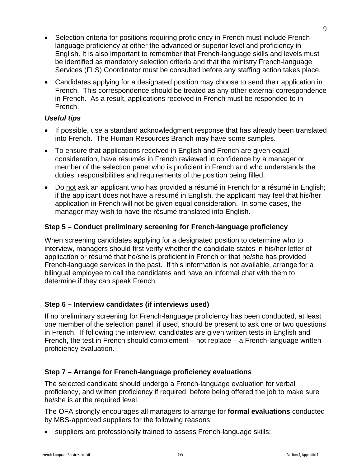- Selection criteria for positions requiring proficiency in French must include Frenchlanguage proficiency at either the advanced or superior level and proficiency in English. It is also important to remember that French-language skills and levels must be identified as mandatory selection criteria and that the ministry French-language Services (FLS) Coordinator must be consulted before any staffing action takes place.
- Candidates applying for a designated position may choose to send their application in French. This correspondence should be treated as any other external correspondence in French. As a result, applications received in French must be responded to in French.

#### *Useful tips*

- If possible, use a standard acknowledgment response that has already been translated into French. The Human Resources Branch may have some samples.
- To ensure that applications received in English and French are given equal consideration, have résumés in French reviewed in confidence by a manager or member of the selection panel who is proficient in French and who understands the duties, responsibilities and requirements of the position being filled.
- Do not ask an applicant who has provided a résumé in French for a résumé in English; if the applicant does not have a résumé in English, the applicant may feel that his/her application in French will not be given equal consideration. In some cases, the manager may wish to have the résumé translated into English.

## **Step 5 – Conduct preliminary screening for French-language proficiency**

When screening candidates applying for a designated position to determine who to interview, managers should first verify whether the candidate states in his/her letter of application or résumé that he/she is proficient in French or that he/she has provided French-language services in the past. If this information is not available, arrange for a bilingual employee to call the candidates and have an informal chat with them to determine if they can speak French.

## **Step 6 – Interview candidates (if interviews used)**

If no preliminary screening for French-language proficiency has been conducted, at least one member of the selection panel, if used, should be present to ask one or two questions in French. If following the interview, candidates are given written tests in English and French, the test in French should complement – not replace – a French-language written proficiency evaluation.

## **Step 7 – Arrange for French-language proficiency evaluations**

The selected candidate should undergo a French-language evaluation for verbal proficiency, and written proficiency if required, before being offered the job to make sure he/she is at the required level.

The OFA strongly encourages all managers to arrange for **formal evaluations** conducted by MBS-approved suppliers for the following reasons:

• suppliers are professionally trained to assess French-language skills;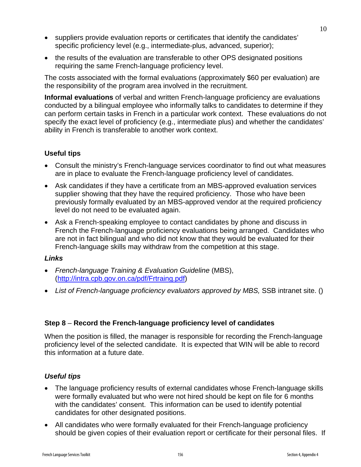- suppliers provide evaluation reports or certificates that identify the candidates' specific proficiency level (e.g., intermediate-plus, advanced, superior);
- the results of the evaluation are transferable to other OPS designated positions requiring the same French-language proficiency level.

The costs associated with the formal evaluations (approximately \$60 per evaluation) are the responsibility of the program area involved in the recruitment.

**Informal evaluations** of verbal and written French-language proficiency are evaluations conducted by a bilingual employee who informally talks to candidates to determine if they can perform certain tasks in French in a particular work context. These evaluations do not specify the exact level of proficiency (e.g., intermediate plus) and whether the candidates' ability in French is transferable to another work context.

## **Useful tips**

- Consult the ministry's French-language services coordinator to find out what measures are in place to evaluate the French-language proficiency level of candidates.
- Ask candidates if they have a certificate from an MBS-approved evaluation services supplier showing that they have the required proficiency. Those who have been previously formally evaluated by an MBS-approved vendor at the required proficiency level do not need to be evaluated again.
- Ask a French-speaking employee to contact candidates by phone and discuss in French the French-language proficiency evaluations being arranged. Candidates who are not in fact bilingual and who did not know that they would be evaluated for their French-language skills may withdraw from the competition at this stage.

#### *Links*

- *French-language Training & Evaluation Guideline* (MBS), (http://intra.cpb.gov.on.ca/pdf/Frtraing.pdf)
- *List of French-language proficiency evaluators approved by MBS,* SSB intranet site. ()

#### **Step 8** – **Record the French-language proficiency level of candidates**

When the position is filled, the manager is responsible for recording the French-language proficiency level of the selected candidate. It is expected that WIN will be able to record this information at a future date.

#### *Useful tips*

- The language proficiency results of external candidates whose French-language skills were formally evaluated but who were not hired should be kept on file for 6 months with the candidates' consent.This information can be used to identify potential candidates for other designated positions.
- All candidates who were formally evaluated for their French-language proficiency should be given copies of their evaluation report or certificate for their personal files. If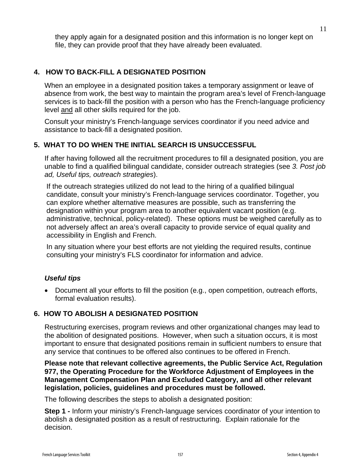they apply again for a designated position and this information is no longer kept on file, they can provide proof that they have already been evaluated.

## **4. HOW TO BACK-FILL A DESIGNATED POSITION**

When an employee in a designated position takes a temporary assignment or leave of absence from work, the best way to maintain the program area's level of French-language services is to back-fill the position with a person who has the French-language proficiency level and all other skills required for the job.

Consult your ministry's French-language services coordinator if you need advice and assistance to back-fill a designated position.

### **5. WHAT TO DO WHEN THE INITIAL SEARCH IS UNSUCCESSFUL**

If after having followed all the recruitment procedures to fill a designated position, you are unable to find a qualified bilingual candidate, consider outreach strategies (see *3. Post job ad, Useful tips, outreach strategies*).

If the outreach strategies utilized do not lead to the hiring of a qualified bilingual candidate, consult your ministry's French-language services coordinator. Together, you can explore whether alternative measures are possible, such as transferring the designation within your program area to another equivalent vacant position (e.g. administrative, technical, policy-related). These options must be weighed carefully as to not adversely affect an area's overall capacity to provide service of equal quality and accessibility in English and French.

In any situation where your best efforts are not yielding the required results, continue consulting your ministry's FLS coordinator for information and advice.

#### *Useful tips*

• Document all your efforts to fill the position (e.g., open competition, outreach efforts, formal evaluation results).

## **6. HOW TO ABOLISH A DESIGNATED POSITION**

Restructuring exercises, program reviews and other organizational changes may lead to the abolition of designated positions. However, when such a situation occurs, it is most important to ensure that designated positions remain in sufficient numbers to ensure that any service that continues to be offered also continues to be offered in French.

**Please note that relevant collective agreements, the Public Service Act, Regulation 977, the Operating Procedure for the Workforce Adjustment of Employees in the Management Compensation Plan and Excluded Category, and all other relevant legislation, policies, guidelines and procedures must be followed.** 

The following describes the steps to abolish a designated position:

**Step 1 -** Inform your ministry's French-language services coordinator of your intention to abolish a designated position as a result of restructuring. Explain rationale for the decision.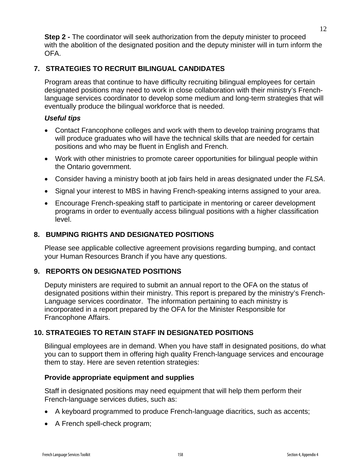**Step 2 -** The coordinator will seek authorization from the deputy minister to proceed with the abolition of the designated position and the deputy minister will in turn inform the OFA.

#### **7. STRATEGIES TO RECRUIT BILINGUAL CANDIDATES**

Program areas that continue to have difficulty recruiting bilingual employees for certain designated positions may need to work in close collaboration with their ministry's Frenchlanguage services coordinator to develop some medium and long-term strategies that will eventually produce the bilingual workforce that is needed.

#### *Useful tips*

- Contact Francophone colleges and work with them to develop training programs that will produce graduates who will have the technical skills that are needed for certain positions and who may be fluent in English and French.
- Work with other ministries to promote career opportunities for bilingual people within the Ontario government.
- Consider having a ministry booth at job fairs held in areas designated under the *FLSA*.
- Signal your interest to MBS in having French-speaking interns assigned to your area.
- Encourage French-speaking staff to participate in mentoring or career development programs in order to eventually access bilingual positions with a higher classification level.

## **8. BUMPING RIGHTS AND DESIGNATED POSITIONS**

Please see applicable collective agreement provisions regarding bumping, and contact your Human Resources Branch if you have any questions.

#### **9. REPORTS ON DESIGNATED POSITIONS**

Deputy ministers are required to submit an annual report to the OFA on the status of designated positions within their ministry. This report is prepared by the ministry's French-Language services coordinator. The information pertaining to each ministry is incorporated in a report prepared by the OFA for the Minister Responsible for Francophone Affairs.

#### **10. STRATEGIES TO RETAIN STAFF IN DESIGNATED POSITIONS**

Bilingual employees are in demand. When you have staff in designated positions, do what you can to support them in offering high quality French-language services and encourage them to stay. Here are seven retention strategies:

#### **Provide appropriate equipment and supplies**

Staff in designated positions may need equipment that will help them perform their French-language services duties, such as:

- A keyboard programmed to produce French-language diacritics, such as accents;
- A French spell-check program;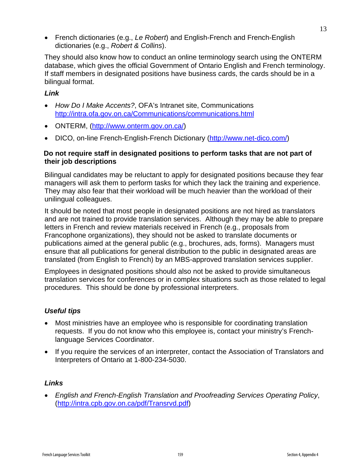• French dictionaries (e.g., *Le Robert*) and English-French and French-English dictionaries (e.g., *Robert & Collins*).

They should also know how to conduct an online terminology search using the ONTERM database, which gives the official Government of Ontario English and French terminology. If staff members in designated positions have business cards, the cards should be in a bilingual format.

## *Link*

- *How Do I Make Accents?*, OFA's Intranet site, Communications http://intra.ofa.gov.on.ca/Communications/communications.html
- ONTERM, (http://www.onterm.gov.on.ca/)
- DICO, on-line French-English-French Dictionary (http://www.net-dico.com/)

#### **Do not require staff in designated positions to perform tasks that are not part of their job descriptions**

Bilingual candidates may be reluctant to apply for designated positions because they fear managers will ask them to perform tasks for which they lack the training and experience. They may also fear that their workload will be much heavier than the workload of their unilingual colleagues.

It should be noted that most people in designated positions are not hired as translators and are not trained to provide translation services. Although they may be able to prepare letters in French and review materials received in French (e.g., proposals from Francophone organizations), they should not be asked to translate documents or publications aimed at the general public (e.g., brochures, ads, forms). Managers must ensure that all publications for general distribution to the public in designated areas are translated (from English to French) by an MBS-approved translation services supplier.

Employees in designated positions should also not be asked to provide simultaneous translation services for conferences or in complex situations such as those related to legal procedures. This should be done by professional interpreters.

## *Useful tips*

- Most ministries have an employee who is responsible for coordinating translation requests. If you do not know who this employee is, contact your ministry's Frenchlanguage Services Coordinator.
- If you require the services of an interpreter, contact the Association of Translators and Interpreters of Ontario at 1-800-234-5030.

#### *Links*

• *English and French-English Translation and Proofreading Services Operating Policy*, (http://intra.cpb.gov.on.ca/pdf/Transrvd.pdf)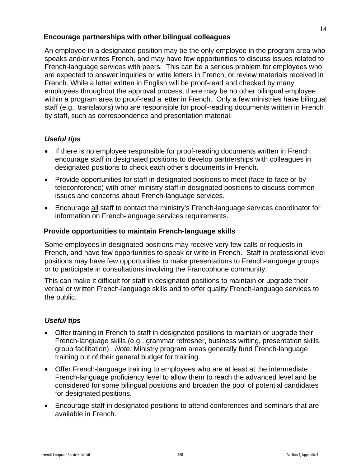#### **Encourage partnerships with other bilingual colleagues**

An employee in a designated position may be the only employee in the program area who speaks and/or writes French, and may have few opportunities to discuss issues related to French-language services with peers. This can be a serious problem for employees who are expected to answer inquiries or write letters in French, or review materials received in French. While a letter written in English will be proof-read and checked by many employees throughout the approval process, there may be no other bilingual employee within a program area to proof-read a letter in French. Only a few ministries have bilingual staff (e.g., translators) who are responsible for proof-reading documents written in French by staff, such as correspondence and presentation material.

### *Useful tips*

- If there is no employee responsible for proof-reading documents written in French, encourage staff in designated positions to develop partnerships with colleagues in designated positions to check each other's documents in French.
- Provide opportunities for staff in designated positions to meet (face-to-face or by teleconference) with other ministry staff in designated positions to discuss common issues and concerns about French-language services.
- Encourage all staff to contact the ministry's French-language services coordinator for information on French-language services requirements.

#### **Provide opportunities to maintain French-language skills**

Some employees in designated positions may receive very few calls or requests in French, and have few opportunities to speak or write in French. Staff in professional level positions may have few opportunities to make presentations to French-language groups or to participate in consultations involving the Francophone community.

This can make it difficult for staff in designated positions to maintain or upgrade their verbal or written French-language skills and to offer quality French-language services to the public.

#### *Useful tips*

- Offer training in French to staff in designated positions to maintain or upgrade their French-language skills (e.g., grammar refresher, business writing, presentation skills, group facilitation). *Note:* Ministry program areas generally fund French-language training out of their general budget for training.
- Offer French-language training to employees who are at least at the intermediate French-language proficiency level to allow them to reach the advanced level and be considered for some bilingual positions and broaden the pool of potential candidates for designated positions.
- Encourage staff in designated positions to attend conferences and seminars that are available in French.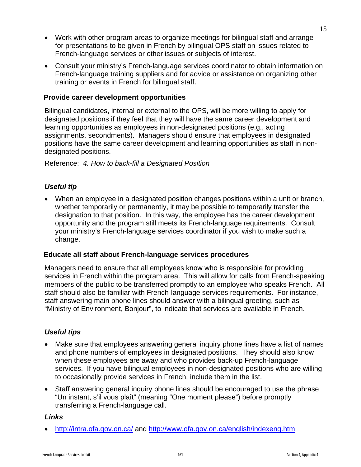- Work with other program areas to organize meetings for bilingual staff and arrange for presentations to be given in French by bilingual OPS staff on issues related to French-language services or other issues or subjects of interest.
- Consult your ministry's French-language services coordinator to obtain information on French-language training suppliers and for advice or assistance on organizing other training or events in French for bilingual staff.

#### **Provide career development opportunities**

Bilingual candidates, internal or external to the OPS, will be more willing to apply for designated positions if they feel that they will have the same career development and learning opportunities as employees in non-designated positions (e.g., acting assignments, secondments). Managers should ensure that employees in designated positions have the same career development and learning opportunities as staff in nondesignated positions.

#### Reference: *4. How to back-fill a Designated Position*

### *Useful tip*

• When an employee in a designated position changes positions within a unit or branch, whether temporarily or permanently, it may be possible to temporarily transfer the designation to that position. In this way, the employee has the career development opportunity and the program still meets its French-language requirements. Consult your ministry's French-language services coordinator if you wish to make such a change.

#### **Educate all staff about French-language services procedures**

Managers need to ensure that all employees know who is responsible for providing services in French within the program area. This will allow for calls from French-speaking members of the public to be transferred promptly to an employee who speaks French. All staff should also be familiar with French-language services requirements. For instance, staff answering main phone lines should answer with a bilingual greeting, such as "Ministry of Environment, Bonjour", to indicate that services are available in French.

#### *Useful tips*

- Make sure that employees answering general inquiry phone lines have a list of names and phone numbers of employees in designated positions. They should also know when these employees are away and who provides back-up French-language services. If you have bilingual employees in non-designated positions who are willing to occasionally provide services in French, include them in the list.
- Staff answering general inquiry phone lines should be encouraged to use the phrase "Un instant, s'il vous plaît" (meaning "One moment please") before promptly transferring a French-language call.

#### *Links*

• http://intra.ofa.gov.on.ca/ and http://www.ofa.gov.on.ca/english/indexeng.htm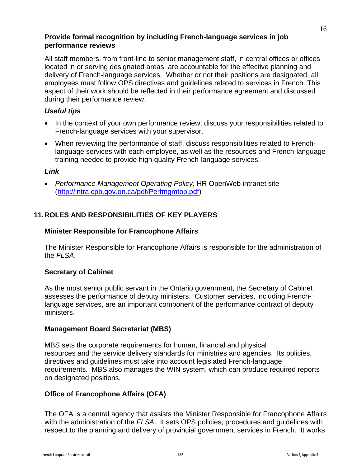#### **Provide formal recognition by including French-language services in job performance reviews**

All staff members, from front-line to senior management staff, in central offices or offices located in or serving designated areas, are accountable for the effective planning and delivery of French-language services. Whether or not their positions are designated, all employees must follow OPS directives and guidelines related to services in French. This aspect of their work should be reflected in their performance agreement and discussed during their performance review.

### *Useful tips*

- In the context of your own performance review, discuss your responsibilities related to French-language services with your supervisor.
- When reviewing the performance of staff, discuss responsibilities related to Frenchlanguage services with each employee, as well as the resources and French-language training needed to provide high quality French-language services.

#### *Link*

• *Performance Management Operating Policy,* HR OpenWeb intranet site (http://intra.cpb.gov.on.ca/pdf/Perfmgmtop.pdf)

## **11. ROLES AND RESPONSIBILITIES OF KEY PLAYERS**

#### **Minister Responsible for Francophone Affairs**

The Minister Responsible for Francophone Affairs is responsible for the administration of the *FLSA*.

#### **Secretary of Cabinet**

As the most senior public servant in the Ontario government, the Secretary of Cabinet assesses the performance of deputy ministers. Customer services, including Frenchlanguage services, are an important component of the performance contract of deputy ministers.

#### **Management Board Secretariat (MBS)**

MBS sets the corporate requirements for human, financial and physical resources and the service delivery standards for ministries and agencies. Its policies, directives and guidelines must take into account legislated French-language requirements. MBS also manages the WIN system, which can produce required reports on designated positions.

## **Office of Francophone Affairs (OFA)**

The OFA is a central agency that assists the Minister Responsible for Francophone Affairs with the administration of the *FLSA*. It sets OPS policies, procedures and guidelines with respect to the planning and delivery of provincial government services in French. It works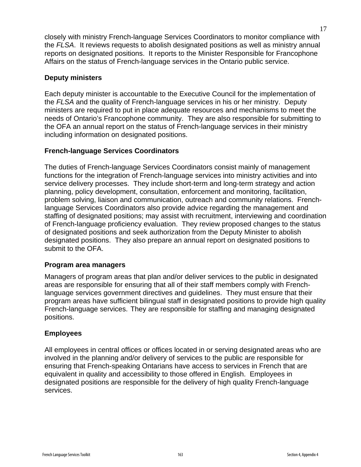closely with ministry French-language Services Coordinators to monitor compliance with the *FLSA*. It reviews requests to abolish designated positions as well as ministry annual reports on designated positions. It reports to the Minister Responsible for Francophone Affairs on the status of French-language services in the Ontario public service.

#### **Deputy ministers**

Each deputy minister is accountable to the Executive Council for the implementation of the *FLSA* and the quality of French-language services in his or her ministry. Deputy ministers are required to put in place adequate resources and mechanisms to meet the needs of Ontario's Francophone community. They are also responsible for submitting to the OFA an annual report on the status of French-language services in their ministry including information on designated positions.

### **French-language Services Coordinators**

The duties of French-language Services Coordinators consist mainly of management functions for the integration of French-language services into ministry activities and into service delivery processes. They include short-term and long-term strategy and action planning, policy development, consultation, enforcement and monitoring, facilitation, problem solving, liaison and communication, outreach and community relations. Frenchlanguage Services Coordinators also provide advice regarding the management and staffing of designated positions; may assist with recruitment, interviewing and coordination of French-language proficiency evaluation. They review proposed changes to the status of designated positions and seek authorization from the Deputy Minister to abolish designated positions. They also prepare an annual report on designated positions to submit to the OFA.

#### **Program area managers**

Managers of program areas that plan and/or deliver services to the public in designated areas are responsible for ensuring that all of their staff members comply with Frenchlanguage services government directives and guidelines. They must ensure that their program areas have sufficient bilingual staff in designated positions to provide high quality French-language services. They are responsible for staffing and managing designated positions.

#### **Employees**

All employees in central offices or offices located in or serving designated areas who are involved in the planning and/or delivery of services to the public are responsible for ensuring that French-speaking Ontarians have access to services in French that are equivalent in quality and accessibility to those offered in English. Employees in designated positions are responsible for the delivery of high quality French-language services.

17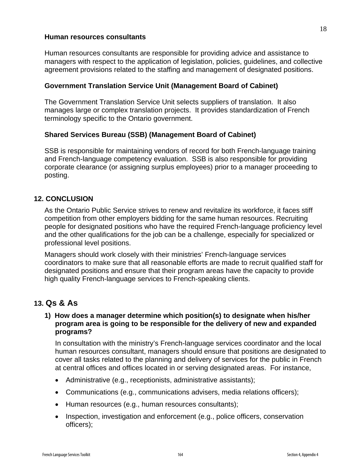#### **Human resources consultants**

Human resources consultants are responsible for providing advice and assistance to managers with respect to the application of legislation, policies, guidelines, and collective agreement provisions related to the staffing and management of designated positions.

#### **Government Translation Service Unit (Management Board of Cabinet)**

The Government Translation Service Unit selects suppliers of translation. It also manages large or complex translation projects. It provides standardization of French terminology specific to the Ontario government.

#### **Shared Services Bureau (SSB) (Management Board of Cabinet)**

SSB is responsible for maintaining vendors of record for both French-language training and French-language competency evaluation. SSB is also responsible for providing corporate clearance (or assigning surplus employees) prior to a manager proceeding to posting.

#### **12. CONCLUSION**

As the Ontario Public Service strives to renew and revitalize its workforce, it faces stiff competition from other employers bidding for the same human resources. Recruiting people for designated positions who have the required French-language proficiency level and the other qualifications for the job can be a challenge, especially for specialized or professional level positions.

Managers should work closely with their ministries' French-language services coordinators to make sure that all reasonable efforts are made to recruit qualified staff for designated positions and ensure that their program areas have the capacity to provide high quality French-language services to French-speaking clients.

## **13. Qs & As**

#### **1) How does a manager determine which position(s) to designate when his/her program area is going to be responsible for the delivery of new and expanded programs?**

In consultation with the ministry's French-language services coordinator and the local human resources consultant, managers should ensure that positions are designated to cover all tasks related to the planning and delivery of services for the public in French at central offices and offices located in or serving designated areas. For instance,

- Administrative (e.g., receptionists, administrative assistants);
- Communications (e.g., communications advisers, media relations officers);
- Human resources (e.g., human resources consultants);
- Inspection, investigation and enforcement (e.g., police officers, conservation officers);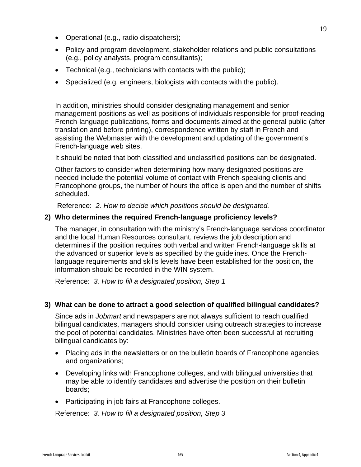- Operational (e.g., radio dispatchers);
- Policy and program development, stakeholder relations and public consultations (e.g., policy analysts, program consultants);
- Technical (e.g., technicians with contacts with the public);
- Specialized (e.g. engineers, biologists with contacts with the public).

In addition, ministries should consider designating management and senior management positions as well as positions of individuals responsible for proof-reading French-language publications, forms and documents aimed at the general public (after translation and before printing), correspondence written by staff in French and assisting the Webmaster with the development and updating of the government's French-language web sites.

It should be noted that both classified and unclassified positions can be designated.

Other factors to consider when determining how many designated positions are needed include the potential volume of contact with French-speaking clients and Francophone groups, the number of hours the office is open and the number of shifts scheduled.

Reference: *2. How to decide which positions should be designated.* 

### **2) Who determines the required French-language proficiency levels?**

The manager, in consultation with the ministry's French-language services coordinator and the local Human Resources consultant, reviews the job description and determines if the position requires both verbal and written French-language skills at the advanced or superior levels as specified by the guidelines. Once the Frenchlanguage requirements and skills levels have been established for the position, the information should be recorded in the WIN system.

Reference: *3. How to fill a designated position, Step 1* 

## **3) What can be done to attract a good selection of qualified bilingual candidates?**

Since ads in *Jobmart* and newspapers are not always sufficient to reach qualified bilingual candidates, managers should consider using outreach strategies to increase the pool of potential candidates. Ministries have often been successful at recruiting bilingual candidates by:

- Placing ads in the newsletters or on the bulletin boards of Francophone agencies and organizations;
- Developing links with Francophone colleges, and with bilingual universities that may be able to identify candidates and advertise the position on their bulletin boards;
- Participating in job fairs at Francophone colleges.

Reference: *3. How to fill a designated position, Step 3*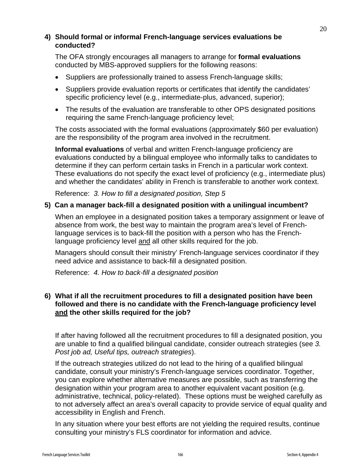#### **4) Should formal or informal French-language services evaluations be conducted?**

The OFA strongly encourages all managers to arrange for **formal evaluations** conducted by MBS-approved suppliers for the following reasons:

- Suppliers are professionally trained to assess French-language skills;
- Suppliers provide evaluation reports or certificates that identify the candidates' specific proficiency level (e.g., intermediate-plus, advanced, superior);
- The results of the evaluation are transferable to other OPS designated positions requiring the same French-language proficiency level;

The costs associated with the formal evaluations (approximately \$60 per evaluation) are the responsibility of the program area involved in the recruitment.

**Informal evaluations** of verbal and written French-language proficiency are evaluations conducted by a bilingual employee who informally talks to candidates to determine if they can perform certain tasks in French in a particular work context. These evaluations do not specify the exact level of proficiency (e.g., intermediate plus) and whether the candidates' ability in French is transferable to another work context.

Reference: *3. How to fill a designated position, Step 5* 

#### **5) Can a manager back-fill a designated position with a unilingual incumbent?**

When an employee in a designated position takes a temporary assignment or leave of absence from work, the best way to maintain the program area's level of Frenchlanguage services is to back-fill the position with a person who has the Frenchlanguage proficiency level and all other skills required for the job.

Managers should consult their ministry' French-language services coordinator if they need advice and assistance to back-fill a designated position.

Reference: *4. How to back-fill a designated position* 

#### **6) What if all the recruitment procedures to fill a designated position have been followed and there is no candidate with the French-language proficiency level and the other skills required for the job?**

If after having followed all the recruitment procedures to fill a designated position, you are unable to find a qualified bilingual candidate, consider outreach strategies (see *3. Post job ad, Useful tips, outreach strategies*).

If the outreach strategies utilized do not lead to the hiring of a qualified bilingual candidate, consult your ministry's French-language services coordinator. Together, you can explore whether alternative measures are possible, such as transferring the designation within your program area to another equivalent vacant position (e.g. administrative, technical, policy-related). These options must be weighed carefully as to not adversely affect an area's overall capacity to provide service of equal quality and accessibility in English and French.

In any situation where your best efforts are not yielding the required results, continue consulting your ministry's FLS coordinator for information and advice.